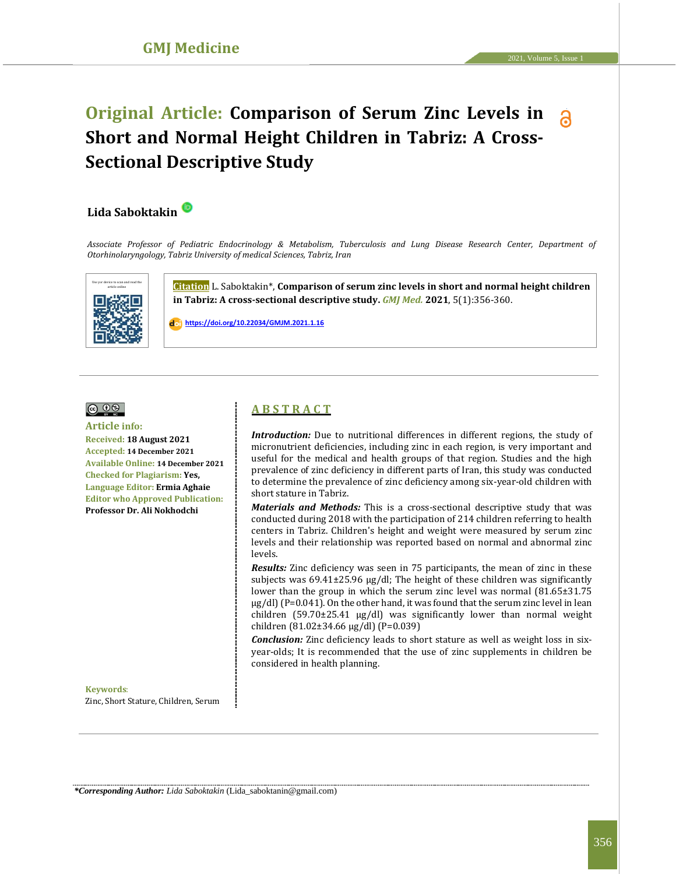# **Original Article: Comparison of Serum Zinc Levels in Short and Normal Height Children in Tabriz: A Cross-Sectional Descriptive Study**

## **Lida Saboktakin**

*Associate Professor of Pediatric Endocrinology & Metabolism, Tuberculosis and Lung Disease Research Center, Department of Otorhinolaryngology, Tabriz University of medical Sciences, Tabriz, Iran*



**Citation** L. Saboktakin\*, **Comparison of serum zinc levels in short and normal height children in Tabriz: A cross-sectional descriptive study.** *GMJ Med.* **2021**, 5(1):356-360.

 **[https://doi.org/10.22034/GMJM.2021.1.16](https://doi.org/10.22034/GMJM.2021.1.14)**



#### **Article info: Received: 18 August 2021 Accepted: 14 December 2021 Available Online: 14 December 2021 Checked for Plagiarism: Yes, Language Editor: Ermia Aghaie Editor who Approved Publication: Professor Dr. Ali Nokhodchi**

**Keywords**: Zinc, Short Stature, Children, Serum

## **A B S T R A C T**

*Introduction:* Due to nutritional differences in different regions, the study of micronutrient deficiencies, including zinc in each region, is very important and useful for the medical and health groups of that region. Studies and the high prevalence of zinc deficiency in different parts of Iran, this study was conducted to determine the prevalence of zinc deficiency among six-year-old children with short stature in Tabriz.

*Materials and Methods:* This is a cross-sectional descriptive study that was conducted during 2018 with the participation of 214 children referring to health centers in Tabriz. Children's height and weight were measured by serum zinc levels and their relationship was reported based on normal and abnormal zinc levels.

*Results:* Zinc deficiency was seen in 75 participants, the mean of zinc in these subjects was  $69.41 \pm 25.96$  µg/dl; The height of these children was significantly lower than the group in which the serum zinc level was normal (81.65±31.75  $\mu$ g/dl) (P=0.041). On the other hand, it was found that the serum zinc level in lean children (59.70±25.41 μg/dl) was significantly lower than normal weight children (81.02±34.66 μg/dl) (P=0.039)

*Conclusion:* Zinc deficiency leads to short stature as well as weight loss in sixyear-olds; It is recommended that the use of zinc supplements in children be considered in health planning.

*\*Corresponding Author: Lida Saboktakin* (Lida\_saboktanin@gmail.com)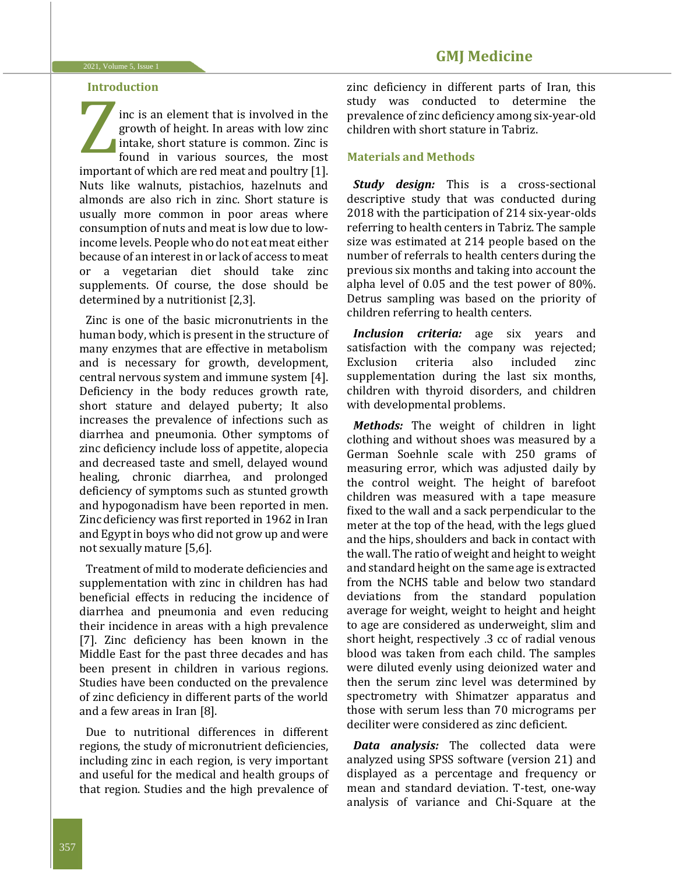## **Introduction**

inc is an element that is involved in the growth of height. In areas with low zinc lintake, short stature is common. Zinc is found in various sources, the most important of which are red meat and poultry [1]. Nuts like walnuts, pistachios, hazelnuts and almonds are also rich in zinc. Short stature is usually more common in poor areas where consumption of nuts and meat is low due to lowincome levels. People who do not eat meat either because of an interest in or lack of access to meat or a vegetarian diet should take zinc supplements. Of course, the dose should be determined by a nutritionist [2,3]. Z

Zinc is one of the basic micronutrients in the human body, which is present in the structure of many enzymes that are effective in metabolism and is necessary for growth, development, central nervous system and immune system [4]. Deficiency in the body reduces growth rate, short stature and delayed puberty; It also increases the prevalence of infections such as diarrhea and pneumonia. Other symptoms of zinc deficiency include loss of appetite, alopecia and decreased taste and smell, delayed wound healing, chronic diarrhea, and prolonged deficiency of symptoms such as stunted growth and hypogonadism have been reported in men. Zinc deficiency was first reported in 1962 in Iran and Egypt in boys who did not grow up and were not sexually mature [5,6].

Treatment of mild to moderate deficiencies and supplementation with zinc in children has had beneficial effects in reducing the incidence of diarrhea and pneumonia and even reducing their incidence in areas with a high prevalence [7]. Zinc deficiency has been known in the Middle East for the past three decades and has been present in children in various regions. Studies have been conducted on the prevalence of zinc deficiency in different parts of the world and a few areas in Iran [8].

Due to nutritional differences in different regions, the study of micronutrient deficiencies, including zinc in each region, is very important and useful for the medical and health groups of that region. Studies and the high prevalence of zinc deficiency in different parts of Iran, this study was conducted to determine the prevalence of zinc deficiency among six-year-old children with short stature in Tabriz.

## **Materials and Methods**

*Study design:* This is a cross-sectional descriptive study that was conducted during 2018 with the participation of 214 six-year-olds referring to health centers in Tabriz. The sample size was estimated at 214 people based on the number of referrals to health centers during the previous six months and taking into account the alpha level of 0.05 and the test power of 80%. Detrus sampling was based on the priority of children referring to health centers.

*Inclusion criteria:* age six years and satisfaction with the company was rejected; Exclusion criteria also included zinc supplementation during the last six months, children with thyroid disorders, and children with developmental problems.

*Methods:* The weight of children in light clothing and without shoes was measured by a German Soehnle scale with 250 grams of measuring error, which was adjusted daily by the control weight. The height of barefoot children was measured with a tape measure fixed to the wall and a sack perpendicular to the meter at the top of the head, with the legs glued and the hips, shoulders and back in contact with the wall. The ratio of weight and height to weight and standard height on the same age is extracted from the NCHS table and below two standard deviations from the standard population average for weight, weight to height and height to age are considered as underweight, slim and short height, respectively .3 cc of radial venous blood was taken from each child. The samples were diluted evenly using deionized water and then the serum zinc level was determined by spectrometry with Shimatzer apparatus and those with serum less than 70 micrograms per deciliter were considered as zinc deficient.

*Data analysis:* The collected data were analyzed using SPSS software (version 21) and displayed as a percentage and frequency or mean and standard deviation. T-test, one-way analysis of variance and Chi-Square at the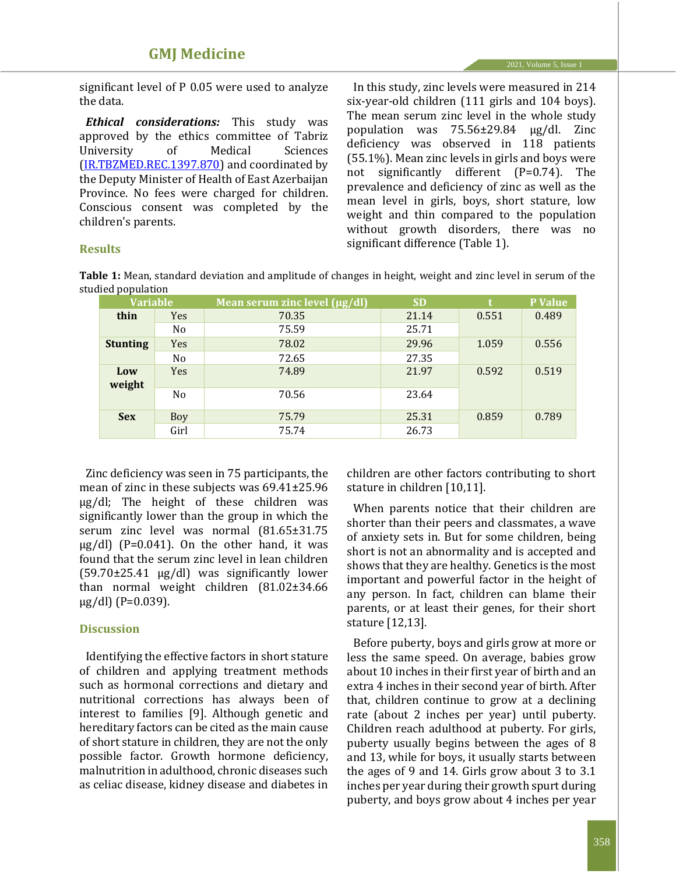significant level of P 0.05 were used to analyze the data.

*Ethical considerations:* This study was approved by the ethics committee of Tabriz University of Medical Sciences [\(IR.TBZMED.REC.1397.870\)](http://ethics.research.ac.ir/IR.TBZMED.REC.1397.870) and coordinated by the Deputy Minister of Health of East Azerbaijan Province. No fees were charged for children. Conscious consent was completed by the children's parents.

In this study, zinc levels were measured in 214 six-year-old children (111 girls and 104 boys). The mean serum zinc level in the whole study population was 75.56±29.84 μg/dl. Zinc deficiency was observed in 118 patients (55.1%). Mean zinc levels in girls and boys were not significantly different (P=0.74). The prevalence and deficiency of zinc as well as the mean level in girls, boys, short stature, low weight and thin compared to the population without growth disorders, there was no significant difference (Table 1).

## **Results**

**Table 1:** Mean, standard deviation and amplitude of changes in height, weight and zinc level in serum of the studied population

| <b>Variable</b> |                | Mean serum zinc level $(\mu g/dl)$ | <b>SD</b> | t     | P Value |
|-----------------|----------------|------------------------------------|-----------|-------|---------|
| thin            | <b>Yes</b>     | 70.35                              | 21.14     | 0.551 | 0.489   |
|                 | N <sub>0</sub> | 75.59                              | 25.71     |       |         |
| <b>Stunting</b> | Yes            | 78.02                              | 29.96     | 1.059 | 0.556   |
|                 | N <sub>0</sub> | 72.65                              | 27.35     |       |         |
| Low<br>weight   | <b>Yes</b>     | 74.89                              | 21.97     | 0.592 | 0.519   |
|                 | N <sub>0</sub> | 70.56                              | 23.64     |       |         |
| <b>Sex</b>      | Boy            | 75.79                              | 25.31     | 0.859 | 0.789   |
|                 | Girl           | 75.74                              | 26.73     |       |         |

Zinc deficiency was seen in 75 participants, the mean of zinc in these subjects was 69.41±25.96 μg/dl; The height of these children was significantly lower than the group in which the serum zinc level was normal (81.65±31.75  $\mu$ g/dl) (P=0.041). On the other hand, it was found that the serum zinc level in lean children (59.70±25.41 μg/dl) was significantly lower than normal weight children (81.02±34.66  $\mu$ g/dl) (P=0.039).

## **Discussion**

Identifying the effective factors in short stature of children and applying treatment methods such as hormonal corrections and dietary and nutritional corrections has always been of interest to families [9]. Although genetic and hereditary factors can be cited as the main cause of short stature in children, they are not the only possible factor. Growth hormone deficiency, malnutrition in adulthood, chronic diseases such as celiac disease, kidney disease and diabetes in children are other factors contributing to short stature in children [10,11].

When parents notice that their children are shorter than their peers and classmates, a wave of anxiety sets in. But for some children, being short is not an abnormality and is accepted and shows that they are healthy. Genetics is the most important and powerful factor in the height of any person. In fact, children can blame their parents, or at least their genes, for their short stature [12,13].

Before puberty, boys and girls grow at more or less the same speed. On average, babies grow about 10 inches in their first year of birth and an extra 4 inches in their second year of birth. After that, children continue to grow at a declining rate (about 2 inches per year) until puberty. Children reach adulthood at puberty. For girls, puberty usually begins between the ages of 8 and 13, while for boys, it usually starts between the ages of 9 and 14. Girls grow about 3 to 3.1 inches per year during their growth spurt during puberty, and boys grow about 4 inches per year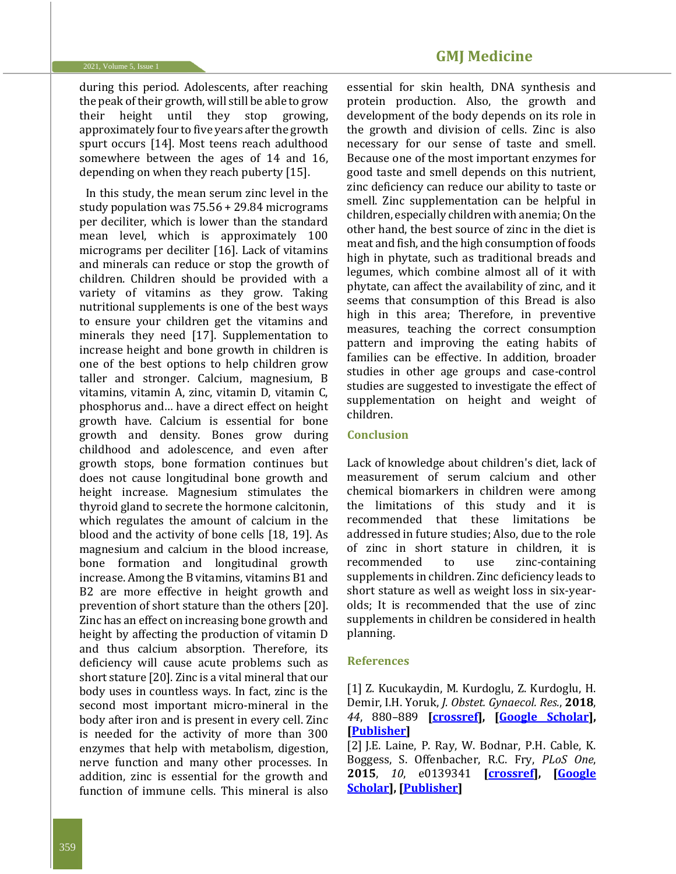**GMJ Medicine**

during this period. Adolescents, after reaching the peak of their growth, will still be able to grow their height until they stop growing, approximately four to five years after the growth spurt occurs [14]. Most teens reach adulthood somewhere between the ages of 14 and 16, depending on when they reach puberty [15].

In this study, the mean serum zinc level in the study population was 75.56 + 29.84 micrograms per deciliter, which is lower than the standard mean level, which is approximately 100 micrograms per deciliter [16]. Lack of vitamins and minerals can reduce or stop the growth of children. Children should be provided with a variety of vitamins as they grow. Taking nutritional supplements is one of the best ways to ensure your children get the vitamins and minerals they need [17]. Supplementation to increase height and bone growth in children is one of the best options to help children grow taller and stronger. Calcium, magnesium, B vitamins, vitamin A, zinc, vitamin D, vitamin C, phosphorus and… have a direct effect on height growth have. Calcium is essential for bone growth and density. Bones grow during childhood and adolescence, and even after growth stops, bone formation continues but does not cause longitudinal bone growth and height increase. Magnesium stimulates the thyroid gland to secrete the hormone calcitonin, which regulates the amount of calcium in the blood and the activity of bone cells [18, 19]. As magnesium and calcium in the blood increase, bone formation and longitudinal growth increase. Among the B vitamins, vitamins B1 and B2 are more effective in height growth and prevention of short stature than the others [20]. Zinc has an effect on increasing bone growth and height by affecting the production of vitamin D and thus calcium absorption. Therefore, its deficiency will cause acute problems such as short stature [20]. Zinc is a vital mineral that our body uses in countless ways. In fact, zinc is the second most important micro-mineral in the body after iron and is present in every cell. Zinc is needed for the activity of more than 300 enzymes that help with metabolism, digestion, nerve function and many other processes. In addition, zinc is essential for the growth and function of immune cells. This mineral is also

essential for skin health, DNA synthesis and protein production. Also, the growth and development of the body depends on its role in the growth and division of cells. Zinc is also necessary for our sense of taste and smell. Because one of the most important enzymes for good taste and smell depends on this nutrient, zinc deficiency can reduce our ability to taste or smell. Zinc supplementation can be helpful in children, especially children with anemia; On the other hand, the best source of zinc in the diet is meat and fish, and the high consumption of foods high in phytate, such as traditional breads and legumes, which combine almost all of it with phytate, can affect the availability of zinc, and it seems that consumption of this Bread is also high in this area; Therefore, in preventive measures, teaching the correct consumption pattern and improving the eating habits of families can be effective. In addition, broader studies in other age groups and case-control studies are suggested to investigate the effect of supplementation on height and weight of children.

#### **Conclusion**

Lack of knowledge about children's diet, lack of measurement of serum calcium and other chemical biomarkers in children were among the limitations of this study and it is recommended that these limitations be addressed in future studies; Also, due to the role of zinc in short stature in children, it is recommended to use zinc-containing supplements in children. Zinc deficiency leads to short stature as well as weight loss in six-yearolds; It is recommended that the use of zinc supplements in children be considered in health planning.

#### **References**

[1] Z. Kucukaydin, M. Kurdoglu, Z. Kurdoglu, H. Demir, I.H. Yoruk, *J. Obstet. Gynaecol. Res.*, **2018**, *44*, 880–889 **[\[crossref\]](https://doi.org/10.1111/jog.13591), [\[Google Scholar\]](https://scholar.google.com/scholar?hl=en&as_sdt=0%2C5&q=Selected+maternal%2C+fetal+and+placental+trace+element+and+heavy+metal+and+maternal+vitamin+levels+in+preterm+deliveries+with+or+without+preterm+premature+rupture+of+membranes%E2%80%A0&btnG=), [\[Publisher\]](https://obgyn.onlinelibrary.wiley.com/doi/abs/10.1111/jog.13591)**

[2] J.E. Laine, P. Ray, W. Bodnar, P.H. Cable, K. Boggess, S. Offenbacher, R.C. Fry, *PLoS One*, **2015**, *10*, e0139341 **[\[crossref\]](https://doi.org/10.1371/journal.pone.0139341), [\[Google](https://scholar.google.com/scholar?hl=en&as_sdt=0%2C5&q=Placental+Cadmium+Levels+Are+Associated+with+Increased+Preeclampsia+Risk&btnG=)  [Scholar\]](https://scholar.google.com/scholar?hl=en&as_sdt=0%2C5&q=Placental+Cadmium+Levels+Are+Associated+with+Increased+Preeclampsia+Risk&btnG=), [\[Publisher\]](https://journals.plos.org/plosone/article?id=10.1371/journal.pone.0139341)**